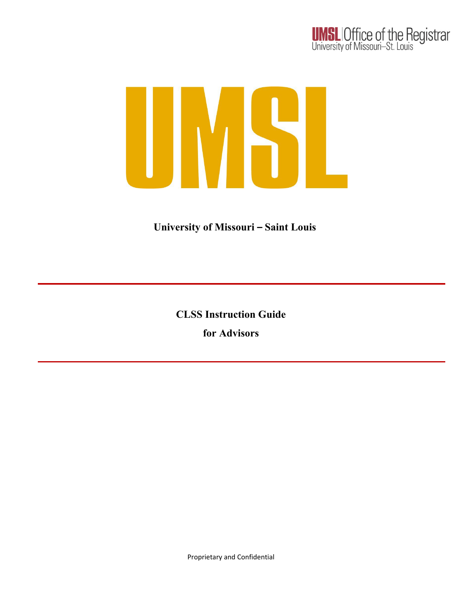

### **University of Missouri – Saint Louis**

**CLSS Instruction Guide for Advisors**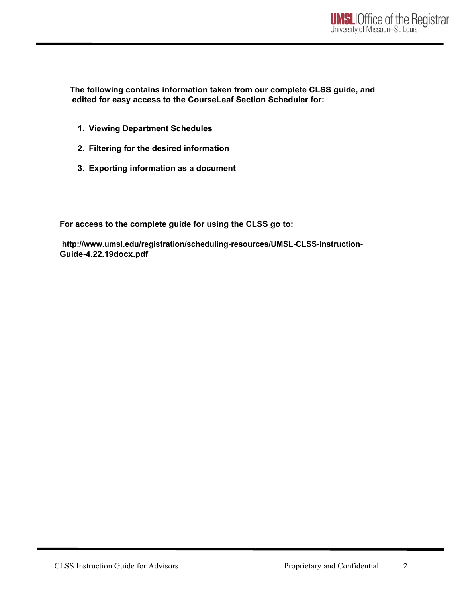**The following contains information taken from our complete CLSS guide, and edited for easy access to the CourseLeaf Section Scheduler for:**

- **1. Viewing Department Schedules**
- **2. Filtering for the desired information**
- **3. Exporting information as a document**

**For access to the complete guide for using the CLSS go to:**

**<http://www.umsl.edu/registration/scheduling-resources/UMSL-CLSS-Instruction->Guide-4.22.19docx.pdf**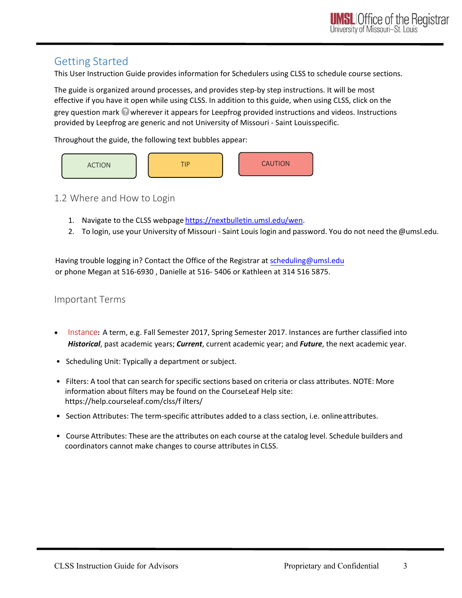### Getting Started

This User Instruction Guide provides information for Schedulers using CLSS to schedule course sections.

The guide is organized around processes, and provides step-by step instructions. It will be most effective if you have it open while using CLSS. In addition to this guide, when using CLSS, click on the grey question mark  $\bullet$  wherever it appears for Leepfrog provided instructions and videos. Instructions provided by Leepfrog are generic and not University of Missouri - Saint Louisspecific.

Throughout the guide, the following text bubbles appear:



1.2 Where and How to Login

- 1. Navigate to the CLSS webpage https://nextbulletin.umsl.edu/wen.
- 2. To login, use your University of Missouri Saint Louis login and [password.](mailto:scheduling@umsl.edu) You do not need the@umsl.edu.

Having trouble logging in? Contact the [Office of the Registrar at scheduling@umsl.edu](mailto:scheduling@umsl.edu) or phone Megan at 516-6930 , Danielle at 516- 5406 or Kathleen at 314 516 5875.

#### Important Terms

- Instance**:** A term, e.g. Fall Semester 2017, Spring Semester 2017. Instances are further classified into *Historical*, past academic years; *Current*, current academic year; and *Future*, the next academic year.
- Scheduling Unit: Typically a department or subject.
- Filters: A tool that can search for specific sections based on criteria or class attributes. NOTE: More information about filters may be found on the CourseLeaf Help site: https://help.courseleaf.com/clss/f ilters/
- Section Attributes: The term-specific attributes added to a class section, i.e. onlineattributes.
- Course Attributes: These are the attributes on each course at the catalog level. Schedule builders and coordinators cannot make changes to course attributes in CLSS.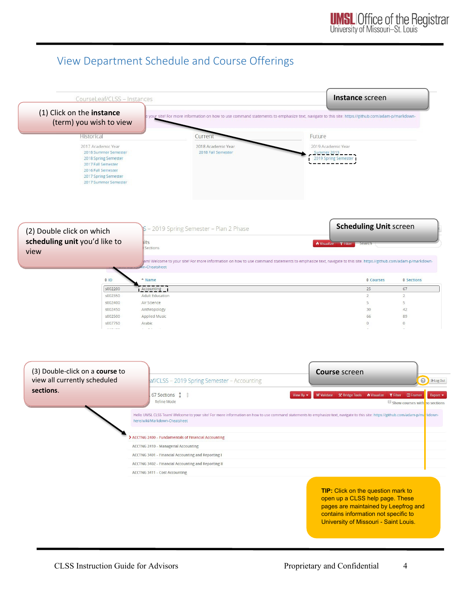## View Department Schedule and Course Offerings

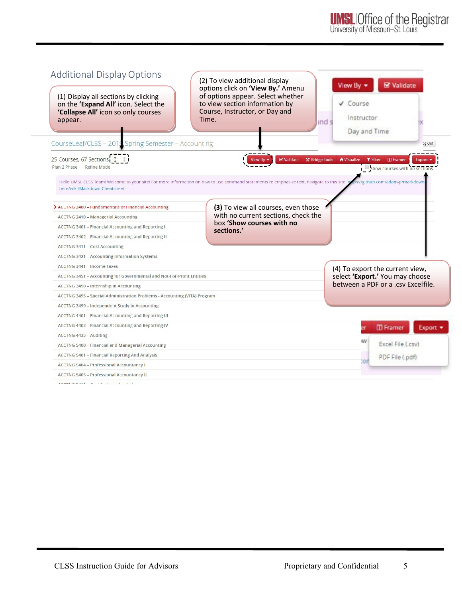| <b>Additional Display Options</b><br>(1) Display all sections by clicking<br>on the 'Expand All' icon. Select the<br>'Collapse All' icon so only courses<br>appear.            | (2) To view additional display<br>options click on 'View By.' Amenu<br>of options appear. Select whether<br>to view section information by<br>Course, Instructor, or Day and<br>Time. | View By -<br>V Course<br>Instructor<br>and s<br>Day and Time                                             | <b>S</b> Validate                                                 |
|--------------------------------------------------------------------------------------------------------------------------------------------------------------------------------|---------------------------------------------------------------------------------------------------------------------------------------------------------------------------------------|----------------------------------------------------------------------------------------------------------|-------------------------------------------------------------------|
| CourseLeaf/CLSS - 2019 Spring Semester - Accounting                                                                                                                            |                                                                                                                                                                                       |                                                                                                          | og Out                                                            |
| 25 Courses, 67 Sections 1 #1<br>Plan 2 Phase Refine Mode                                                                                                                       | ■ Validate <b>☆ Bridge Tools</b>                                                                                                                                                      | Nisualize<br><b>T</b> Filter                                                                             | $\Box$ Framer<br>Export '<br>$\Box$ show courses with no sections |
| Hello UMSL CLSS Team! Welcome to your site! For more information on how to use command statements to emphasize text, navigate to this site: b<br>here/wiki/Markdown-Cheatsheet |                                                                                                                                                                                       |                                                                                                          | ps://github.com/adam-p/markdown-                                  |
| > ACCTNG 2400 - Fundamentals of Financial Accounting                                                                                                                           | (3) To view all courses, even those                                                                                                                                                   |                                                                                                          |                                                                   |
| <b>ACCTNG 2410 - Managerial Accounting</b>                                                                                                                                     | with no current sections, check the                                                                                                                                                   |                                                                                                          |                                                                   |
| ACCTNG 3401 - Financial Accounting and Reporting I                                                                                                                             | box 'Show courses with no                                                                                                                                                             |                                                                                                          |                                                                   |
| ACCTNG 3402 - Financial Accounting and Reporting II                                                                                                                            | sections.'                                                                                                                                                                            |                                                                                                          |                                                                   |
| <b>ACCTNG 3411 - Cost Accounting</b>                                                                                                                                           |                                                                                                                                                                                       |                                                                                                          |                                                                   |
| <b>ACCTNG 3421 - Accounting Information Systems</b>                                                                                                                            |                                                                                                                                                                                       |                                                                                                          |                                                                   |
| ACCTNG 3441 - Income Taxes                                                                                                                                                     |                                                                                                                                                                                       |                                                                                                          |                                                                   |
| ACCTNG 3451 - Accounting for Governmental and Not-For-Profit Entities                                                                                                          |                                                                                                                                                                                       | (4) To export the current view,<br>select 'Export.' You may choose<br>between a PDF or a .csy Excelfile. |                                                                   |
| ACCTNG 3490 - Internship in Accounting                                                                                                                                         |                                                                                                                                                                                       |                                                                                                          |                                                                   |
| ACCTNG 3495 - Special Administration Problems - Accounting (VITA) Program                                                                                                      |                                                                                                                                                                                       |                                                                                                          |                                                                   |
| ACCTNG 3499 - Independent Study in Accounting                                                                                                                                  |                                                                                                                                                                                       |                                                                                                          |                                                                   |
| ACCTNG 4401 - Financial Accounting and Reporting III                                                                                                                           |                                                                                                                                                                                       |                                                                                                          |                                                                   |
| ACCTNG 4402 - Financial Accounting and Reporting IV                                                                                                                            |                                                                                                                                                                                       |                                                                                                          | <b>ID</b> Framer<br>Export                                        |
| ACCTNG 4435 - Auditing                                                                                                                                                         |                                                                                                                                                                                       |                                                                                                          |                                                                   |
| ACCTNG 5400 - Financial and Managerial Accounting                                                                                                                              |                                                                                                                                                                                       | W                                                                                                        | Excel File (.csv)                                                 |
| <b>ACCTNG 5401 - Financial Reporting And Analysis</b>                                                                                                                          |                                                                                                                                                                                       |                                                                                                          | PDF File (.pdf)                                                   |
| <b>ACCTNG 5404 - Professional Accountancy I</b>                                                                                                                                |                                                                                                                                                                                       | 'on                                                                                                      |                                                                   |
| <b>ACCTNG 5405 - Professional Accountancy II</b>                                                                                                                               |                                                                                                                                                                                       |                                                                                                          |                                                                   |
| ACCTNIC FA44 Cost Custome Analusie                                                                                                                                             |                                                                                                                                                                                       |                                                                                                          |                                                                   |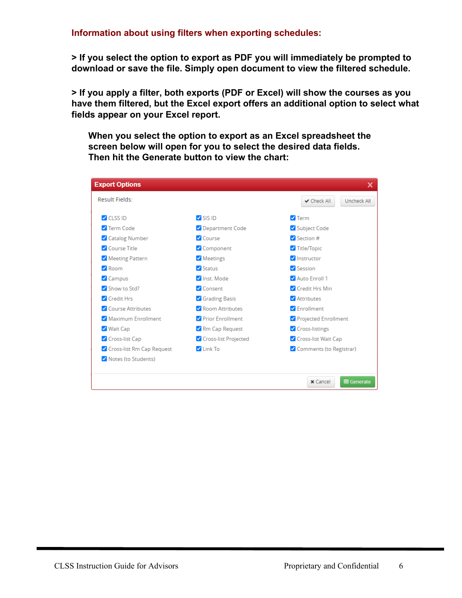#### **Information about using filters when exporting schedules:**

**> If you select the option to export as PDF you will immediately be prompted to download or save the file. Simply open document to view the filtered schedule.**

**> If you apply a filter, both exports (PDF or Excel) will show the courses as you have them filtered, but the Excel export offers an additional option to select what fields appear on your Excel report.**

**When you select the option to export as an Excel spreadsheet the screen below will open for you to select the desired data fields. Then hit the Generate button to view the chart:** 

| <b>Export Options</b>     |                             | ×                                    |  |  |
|---------------------------|-----------------------------|--------------------------------------|--|--|
| Result Fields:            |                             | <b>√</b> Check All<br>Uncheck All    |  |  |
| $\triangledown$ CLSS ID   | $\triangledown$ SIS ID      | $\triangledown$ Term                 |  |  |
| 7 Term Code               | Oepartment Code             | Subject Code                         |  |  |
| Catalog Number            | Course                      | $\sqrt{\phantom{a}}$ Section #       |  |  |
| Course Title              | Component                   | Title/Topic                          |  |  |
| Meeting Pattern           | Meetings                    | <b>V</b> Instructor                  |  |  |
| Room                      | $\sqrt{\frac{1}{2}}$ Status | Session                              |  |  |
| Campus                    | V Inst. Mode                | Auto Enroll 1                        |  |  |
| Show to Std?              | Consent                     | Credit Hrs Min                       |  |  |
| Credit Hrs                | Grading Basis               | Attributes                           |  |  |
| Course Attributes         | Room Attributes             | <b>Z</b> Enrollment                  |  |  |
| Maximum Enrollment        | Prior Enrollment            | Projected Enrollment                 |  |  |
| V Wait Cap                | Rm Cap Request              | ✔ Cross-listings                     |  |  |
| Cross-list Cap            | Cross-list Projected        | Cross-list Wait Cap                  |  |  |
| Cross-list Rm Cap Request | $\n  Link To\n$             | Comments (to Registrar)              |  |  |
| Notes (to Students)       |                             |                                      |  |  |
|                           |                             |                                      |  |  |
|                           |                             | <b>⊞</b> Generate<br><b>x</b> Cancel |  |  |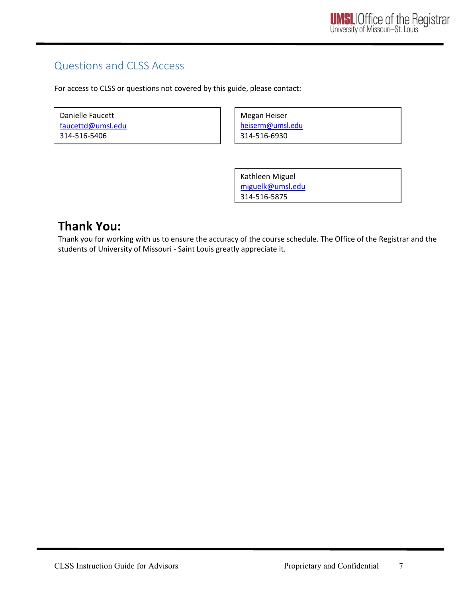## Questions and CLSS Access

For access to CLSS or questions not covered by this guide, please contact:

| Danielle Faucett  |  |
|-------------------|--|
| faucettd@umsl.edu |  |
| 314-516-5406      |  |

Megan Heiser [heiserm@umsl.edu](mailto:heiserm@umsl.edu) 314-516-6930

Kathleen Miguel [miguelk@umsl.edu](mailto:miguelk@umsl.edu) 314-516-5875

# **Thank You:**

Thank you for working with us to ensure the accuracy of the course schedule. The Office of the Registrar and the students of University of Missouri - Saint Louis greatly appreciate it.